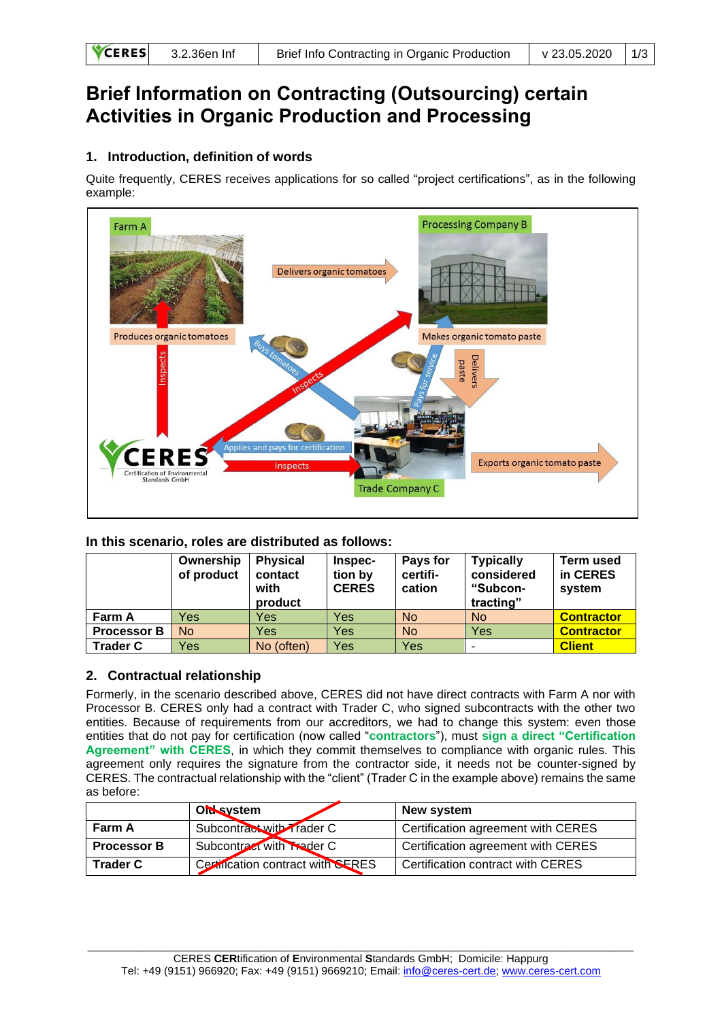| $\text{CERES}$ 3.2.36en Inf<br>v 23.05.2020 1/3<br>Brief Info Contracting in Organic Production |  |
|-------------------------------------------------------------------------------------------------|--|
|-------------------------------------------------------------------------------------------------|--|

# **Brief Information on Contracting (Outsourcing) certain Activities in Organic Production and Processing**

## **1. Introduction, definition of words**

Quite frequently, CERES receives applications for so called "project certifications", as in the following example:



### **In this scenario, roles are distributed as follows:**

|                    | Ownership<br>of product | <b>Physical</b><br>contact<br>with<br>product | Inspec-<br>tion by<br><b>CERES</b> | Pays for<br>certifi-<br>cation | <b>Typically</b><br>considered<br>"Subcon-<br>tracting" | <b>Term used</b><br>in CERES<br>system |
|--------------------|-------------------------|-----------------------------------------------|------------------------------------|--------------------------------|---------------------------------------------------------|----------------------------------------|
| Farm A             | Yes                     | Yes                                           | Yes                                | <b>No</b>                      | <b>No</b>                                               | <b>Contractor</b>                      |
| <b>Processor B</b> | No                      | Yes                                           | Yes                                | <b>No</b>                      | Yes                                                     | <b>Contractor</b>                      |
| <b>Trader C</b>    | Yes                     | No (often)                                    | Yes                                | Yes                            | -                                                       | <b>Client</b>                          |

### **2. Contractual relationship**

Formerly, in the scenario described above, CERES did not have direct contracts with Farm A nor with Processor B. CERES only had a contract with Trader C, who signed subcontracts with the other two entities. Because of requirements from our accreditors, we had to change this system: even those entities that do not pay for certification (now called "**contractors**"), must **sign a direct "Certification Agreement" with CERES**, in which they commit themselves to compliance with organic rules. This agreement only requires the signature from the contractor side, it needs not be counter-signed by CERES. The contractual relationship with the "client" (Trader C in the example above) remains the same as before:

|                    | <b>Ords</b> ystem                 | New system                         |
|--------------------|-----------------------------------|------------------------------------|
| Farm A             | Subcontract with Trader C         | Certification agreement with CERES |
| <b>Processor B</b> | Subcontract with Trader C         | Certification agreement with CERES |
| <b>Trader C</b>    | Certification contract with SERES | Certification contract with CERES  |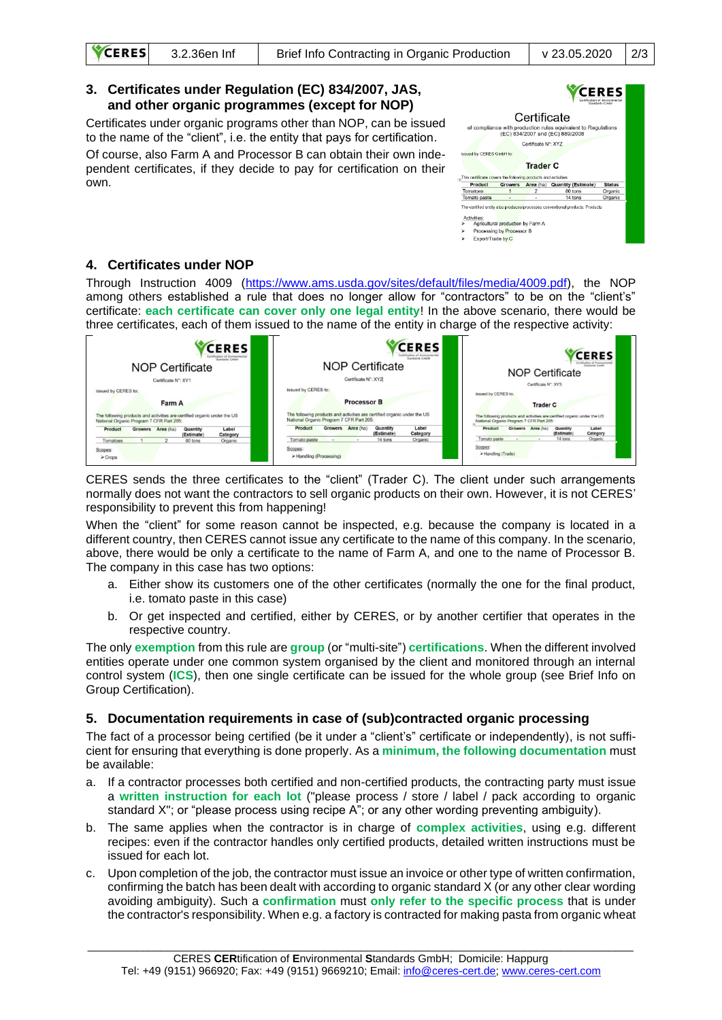

Through Instruction 4009 [\(https://www.ams.usda.gov/sites/default/files/media/4009.pdf\)](https://www.ams.usda.gov/sites/default/files/media/4009.pdf), the NOP among others established a rule that does no longer allow for "contractors" to be on the "client's" certificate: **each certificate can cover only one legal entity**! In the above scenario, there would be three certificates, each of them issued to the name of the entity in charge of the respective activity:

| <b>Trader C</b><br>The following products and activities are certified organic under the US<br>National Organic Program 7 CFR Part 205: |
|-----------------------------------------------------------------------------------------------------------------------------------------|
| Label<br>Growers Area (ha)<br>Quantity<br>(Estimate)<br>Category                                                                        |
| 14 tons<br>Organic                                                                                                                      |
|                                                                                                                                         |

CERES sends the three certificates to the "client" (Trader C). The client under such arrangements normally does not want the contractors to sell organic products on their own. However, it is not CERES' responsibility to prevent this from happening!

When the "client" for some reason cannot be inspected, e.g. because the company is located in a different country, then CERES cannot issue any certificate to the name of this company. In the scenario, above, there would be only a certificate to the name of Farm A, and one to the name of Processor B. The company in this case has two options:

- a. Either show its customers one of the other certificates (normally the one for the final product, i.e. tomato paste in this case)
- b. Or get inspected and certified, either by CERES, or by another certifier that operates in the respective country.

The only **exemption** from this rule are **group** (or "multi-site") **certifications**. When the different involved entities operate under one common system organised by the client and monitored through an internal control system (**ICS**), then one single certificate can be issued for the whole group (see Brief Info on Group Certification).

#### **5. Documentation requirements in case of (sub)contracted organic processing**

The fact of a processor being certified (be it under a "client's" certificate or independently), is not sufficient for ensuring that everything is done properly. As a **minimum, the following documentation** must be available:

- a. If a contractor processes both certified and non-certified products, the contracting party must issue a **written instruction for each lot** ("please process / store / label / pack according to organic standard X"; or "please process using recipe A"; or any other wording preventing ambiguity).
- b. The same applies when the contractor is in charge of **complex activities**, using e.g. different recipes: even if the contractor handles only certified products, detailed written instructions must be issued for each lot.
- c. Upon completion of the job, the contractor must issue an invoice or other type of written confirmation, confirming the batch has been dealt with according to organic standard X (or any other clear wording avoiding ambiguity). Such a **confirmation** must **only refer to the specific process** that is under the contractor's responsibility. When e.g. a factory is contracted for making pasta from organic wheat